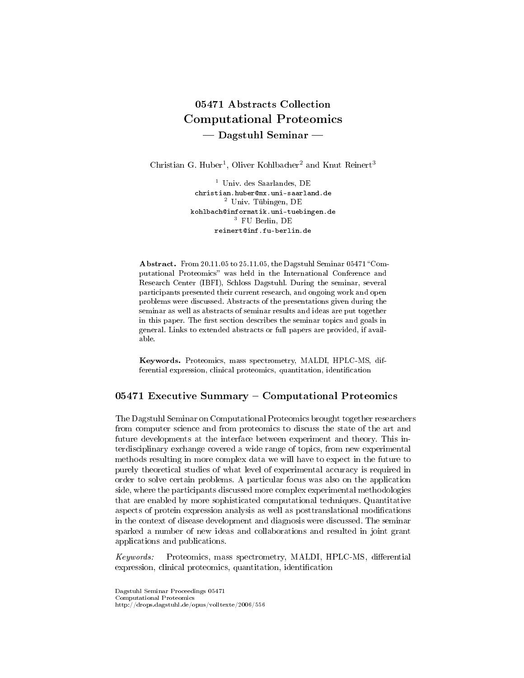# 05471 Abstracts Collection Computational Proteomics  $-$  Dagstuhl Seminar  $-$

Christian G. Huber<sup>1</sup>, Oliver Kohlbacher<sup>2</sup> and Knut Reinert<sup>3</sup>

<sup>1</sup> Univ. des Saarlandes, DE christian.huber@mx.uni-saarland.de <sup>2</sup> Univ. Tübingen, DE kohlbach@informatik.uni-tuebingen.de <sup>3</sup> FU Berlin, DE reinert@inf.fu-berlin.de

Abstract. From 20.11.05 to 25.11.05, the Dagstuhl Seminar 05471 "Computational Proteomics" was held in the International Conference and Research Center (IBFI), Schloss Dagstuhl. During the seminar, several participants presented their current research, and ongoing work and open problems were discussed. Abstracts of the presentations given during the seminar as well as abstracts of seminar results and ideas are put together in this paper. The first section describes the seminar topics and goals in general. Links to extended abstracts or full papers are provided, if available.

Keywords. Proteomics, mass spectrometry, MALDI, HPLC-MS, differential expression, clinical proteomics, quantitation, identification

### 05471 Executive Summary  $-$  Computational Proteomics

The Dagstuhl Seminar on Computational Proteomics brought together researchers from computer science and from proteomics to discuss the state of the art and future developments at the interface between experiment and theory. This interdisciplinary exchange covered a wide range of topics, from new experimental methods resulting in more complex data we will have to expect in the future to purely theoretical studies of what level of experimental accuracy is required in order to solve certain problems. A particular focus was also on the application side, where the participants discussed more complex experimental methodologies that are enabled by more sophisticated computational techniques. Quantitative aspects of protein expression analysis as well as posttranslational modications in the context of disease development and diagnosis were discussed. The seminar sparked a number of new ideas and collaborations and resulted in joint grant applications and publications.

Keywords: Proteomics, mass spectrometry, MALDI, HPLC-MS, differential expression, clinical proteomics, quantitation, identification

Dagstuhl Seminar Proceedings 05471 Computational Proteomics http://drops.dagstuhl.de/opus/volltexte/2006/556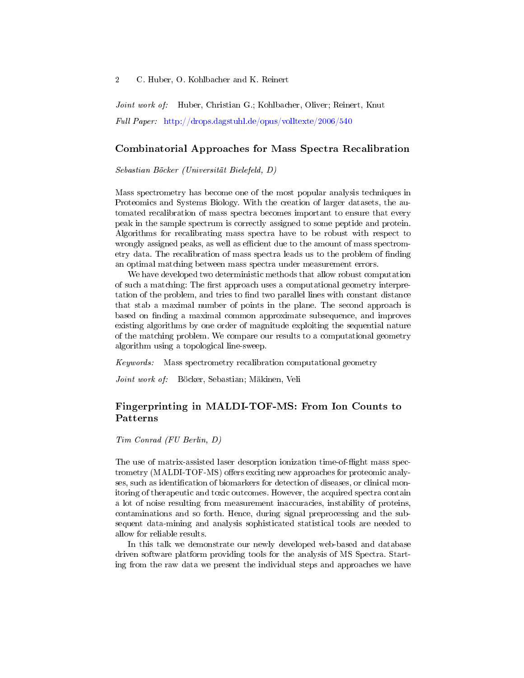Joint work of: Huber, Christian G.; Kohlbacher, Oliver; Reinert, Knut Full Paper: <http://drops.dagstuhl.de/opus/volltexte/2006/540>

### Combinatorial Approaches for Mass Spectra Recalibration

Sebastian Böcker (Universität Bielefeld, D)

Mass spectrometry has become one of the most popular analysis techniques in Proteomics and Systems Biology. With the creation of larger datasets, the automated recalibration of mass spectra becomes important to ensure that every peak in the sample spectrum is correctly assigned to some peptide and protein. Algorithms for recalibrating mass spectra have to be robust with respect to wrongly assigned peaks, as well as efficient due to the amount of mass spectrometry data. The recalibration of mass spectra leads us to the problem of finding an optimal matching between mass spectra under measurement errors.

We have developed two deterministic methods that allow robust computation of such a matching: The first approach uses a computational geometry interpretation of the problem, and tries to find two parallel lines with constant distance that stab a maximal number of points in the plane. The second approach is based on finding a maximal common approximate subsequence, and improves existing algorithms by one order of magnitude exploiting the sequential nature of the matching problem. We compare our results to a computational geometry algorithm using a topological line-sweep.

Keywords: Mass spectrometry recalibration computational geometry

Joint work of: Böcker, Sebastian; Mäkinen, Veli

### Fingerprinting in MALDI-TOF-MS: From Ion Counts to Patterns

Tim Conrad (FU Berlin, D)

The use of matrix-assisted laser desorption ionization time-of-flight mass spectrometry (MALDI-TOF-MS) offers exciting new approaches for proteomic analyses, such as identification of biomarkers for detection of diseases, or clinical monitoring of therapeutic and toxic outcomes. However, the acquired spectra contain a lot of noise resulting from measurement inaccuracies, instability of proteins, contaminations and so forth. Hence, during signal preprocessing and the subsequent data-mining and analysis sophisticated statistical tools are needed to allow for reliable results.

In this talk we demonstrate our newly developed web-based and database driven software platform providing tools for the analysis of MS Spectra. Starting from the raw data we present the individual steps and approaches we have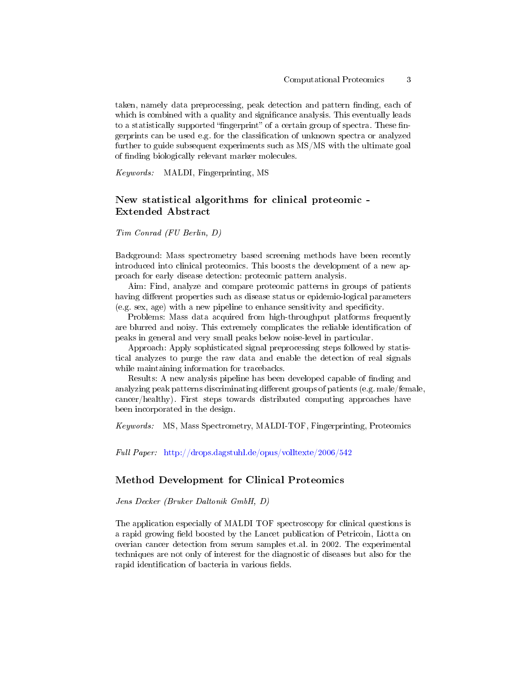taken, namely data preprocessing, peak detection and pattern finding, each of which is combined with a quality and significance analysis. This eventually leads to a statistically supported "fingerprint" of a certain group of spectra. These fingerprints can be used e.g. for the classication of unknown spectra or analyzed further to guide subsequent experiments such as MS/MS with the ultimate goal of finding biologically relevant marker molecules.

Keywords: MALDI, Fingerprinting, MS

### New statistical algorithms for clinical proteomic - Extended Abstract

Tim Conrad (FU Berlin, D)

Background: Mass spectrometry based screening methods have been recently introduced into clinical proteomics. This boosts the development of a new approach for early disease detection: proteomic pattern analysis.

Aim: Find, analyze and compare proteomic patterns in groups of patients having different properties such as disease status or epidemio-logical parameters (e.g. sex, age) with a new pipeline to enhance sensitivity and specificity.

Problems: Mass data acquired from high-throughput platforms frequently are blurred and noisy. This extremely complicates the reliable identification of peaks in general and very small peaks below noise-level in particular.

Approach: Apply sophisticated signal preprocessing steps followed by statistical analyzes to purge the raw data and enable the detection of real signals while maintaining information for tracebacks.

Results: A new analysis pipeline has been developed capable of finding and analyzing peak patterns discriminating different groups of patients (e.g. male/female, cancer/healthy). First steps towards distributed computing approaches have been incorporated in the design.

Keywords: MS, Mass Spectrometry, MALDI-TOF, Fingerprinting, Proteomics

Full Paper: <http://drops.dagstuhl.de/opus/volltexte/2006/542>

### Method Development for Clinical Proteomics

Jens Decker (Bruker Daltonik GmbH, D)

The application especially of MALDI TOF spectroscopy for clinical questions is a rapid growing field boosted by the Lancet publication of Petricoin, Liotta on overian cancer detection from serum samples et.al. in 2002. The experimental techniques are not only of interest for the diagnostic of diseases but also for the rapid identification of bacteria in various fields.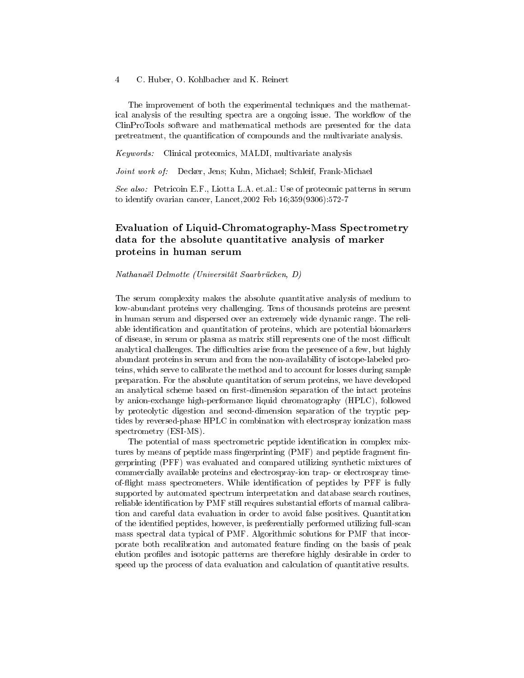The improvement of both the experimental techniques and the mathematical analysis of the resulting spectra are a ongoing issue. The workflow of the ClinProTools software and mathematical methods are presented for the data pretreatment, the quantification of compounds and the multivariate analysis.

Keywords: Clinical proteomics, MALDI, multivariate analysis

Joint work of: Decker, Jens; Kuhn, Michael; Schleif, Frank-Michael

See also: Petricoin E.F., Liotta L.A. et.al.: Use of proteomic patterns in serum to identify ovarian cancer, Lancet,2002 Feb 16;359(9306):572-7

# Evaluation of Liquid-Chromatography-Mass Spectrometry data for the absolute quantitative analysis of marker proteins in human serum

Nathanaël Delmotte (Universität Saarbrücken, D)

The serum complexity makes the absolute quantitative analysis of medium to low-abundant proteins very challenging. Tens of thousands proteins are present in human serum and dispersed over an extremely wide dynamic range. The reliable identification and quantitation of proteins, which are potential biomarkers of disease, in serum or plasma as matrix still represents one of the most difficult analytical challenges. The difficulties arise from the presence of a few, but highly abundant proteins in serum and from the non-availability of isotope-labeled proteins, which serve to calibrate the method and to account for losses during sample preparation. For the absolute quantitation of serum proteins, we have developed an analytical scheme based on first-dimension separation of the intact proteins by anion-exchange high-performance liquid chromatography (HPLC), followed by proteolytic digestion and second-dimension separation of the tryptic peptides by reversed-phase HPLC in combination with electrospray ionization mass spectrometry (ESI-MS).

The potential of mass spectrometric peptide identification in complex mixtures by means of peptide mass fingerprinting (PMF) and peptide fragment fingerprinting (PFF) was evaluated and compared utilizing synthetic mixtures of commercially available proteins and electrospray-ion trap- or electrospray timeof-flight mass spectrometers. While identification of peptides by PFF is fully supported by automated spectrum interpretation and database search routines, reliable identification by PMF still requires substantial efforts of manual calibration and careful data evaluation in order to avoid false positives. Quantitation of the identied peptides, however, is preferentially performed utilizing full-scan mass spectral data typical of PMF. Algorithmic solutions for PMF that incorporate both recalibration and automated feature finding on the basis of peak elution profiles and isotopic patterns are therefore highly desirable in order to speed up the process of data evaluation and calculation of quantitative results.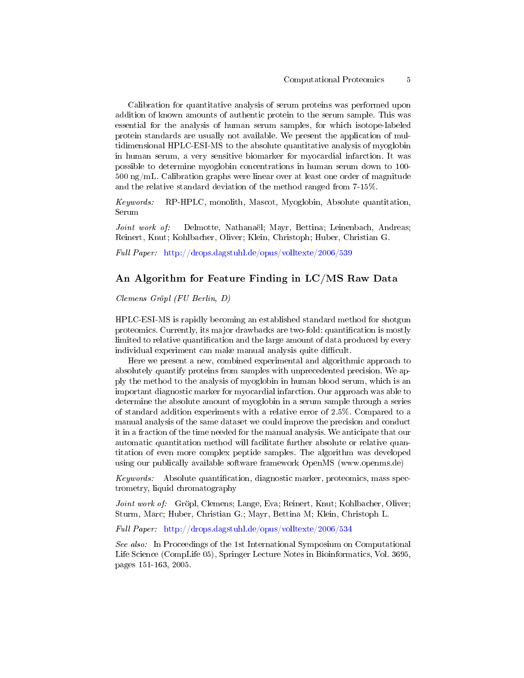Calibration for quantitative analysis of serum proteins was performed upon addition of known amounts of authentic protein to the serum sample. This was essential for the analysis of human serum samples, for which isotope-labeled protein standards are usually not available. We present the application of multidimensional HPLC-ESI-MS to the absolute quantitative analysis of myoglobin in human serum, a very sensitive biomarker for myocardial infarction. It was possible to determine myoglobin concentrations in human serum down to 100- 500 ng/mL. Calibration graphs were linear over at least one order of magnitude and the relative standard deviation of the method ranged from 7-15%.

Keywords: RP-HPLC, monolith, Mascot, Myoglobin, Absolute quantitation, Serum

Joint work of: Delmotte, Nathanaël; Mayr, Bettina; Leinenbach, Andreas; Reinert, Knut; Kohlbacher, Oliver; Klein, Christoph; Huber, Christian G.

Full Paper: <http://drops.dagstuhl.de/opus/volltexte/2006/539>

### An Algorithm for Feature Finding in LC/MS Raw Data

Clemens Gröpl (FU Berlin, D)

HPLC-ESI-MS is rapidly becoming an established standard method for shotgun proteomics. Currently, its major drawbacks are two-fold: quantification is mostly limited to relative quantification and the large amount of data produced by every individual experiment can make manual analysis quite difficult.

Here we present a new, combined experimental and algorithmic approach to absolutely quantify proteins from samples with unprecedented precision. We apply the method to the analysis of myoglobin in human blood serum, which is an important diagnostic marker for myocardial infarction. Our approach was able to determine the absolute amount of myoglobin in a serum sample through a series of standard addition experiments with a relative error of 2.5%. Compared to a manual analysis of the same dataset we could improve the precision and conduct it in a fraction of the time needed for the manual analysis. We anticipate that our automatic quantitation method will facilitate further absolute or relative quantitation of even more complex peptide samples. The algorithm was developed using our publically available software framework OpenMS (www.openms.de)

Keywords: Absolute quantification, diagnostic marker, proteomics, mass spectrometry, liquid chromatography

Joint work of: Gröpl, Clemens; Lange, Eva; Reinert, Knut; Kohlbacher, Oliver; Sturm, Marc; Huber, Christian G.; Mayr, Bettina M; Klein, Christoph L.

Full Paper: <http://drops.dagstuhl.de/opus/volltexte/2006/534>

See also: In Proceedings of the 1st International Symposium on Computational Life Science (CompLife 05), Springer Lecture Notes in Bioinformatics, Vol. 3695, pages 151-163, 2005.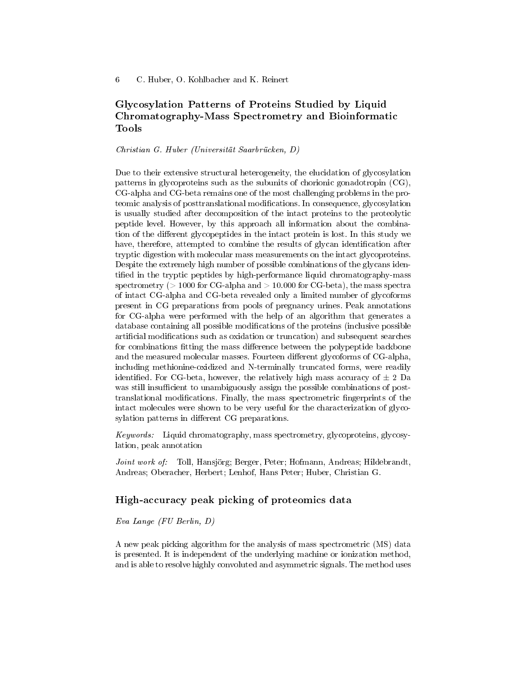# Glycosylation Patterns of Proteins Studied by Liquid Chromatography-Mass Spectrometry and Bioinformatic Tools

### Christian G. Huber (Universität Saarbrücken, D)

Due to their extensive structural heterogeneity, the elucidation of glycosylation patterns in glycoproteins such as the subunits of chorionic gonadotropin (CG), CG-alpha and CG-beta remains one of the most challenging problems in the proteomic analysis of posttranslational modications. In consequence, glycosylation is usually studied after decomposition of the intact proteins to the proteolytic peptide level. However, by this approach all information about the combination of the different glycopeptides in the intact protein is lost. In this study we have, therefore, attempted to combine the results of glycan identification after tryptic digestion with molecular mass measurements on the intact glycoproteins. Despite the extremely high number of possible combinations of the glycans identified in the tryptic peptides by high-performance liquid chromatography-mass spectrometry ( $> 1000$  for CG-alpha and  $> 10.000$  for CG-beta), the mass spectra of intact CG-alpha and CG-beta revealed only a limited number of glycoforms present in CG preparations from pools of pregnancy urines. Peak annotations for CG-alpha were performed with the help of an algorithm that generates a database containing all possible modifications of the proteins (inclusive possible artificial modifications such as oxidation or truncation) and subsequent searches for combinations fitting the mass difference between the polypeptide backbone and the measured molecular masses. Fourteen different glycoforms of CG-alpha, including methionine-oxidized and N-terminally truncated forms, were readily identified. For CG-beta, however, the relatively high mass accuracy of  $\pm$  2 Da was still insufficient to unambiguously assign the possible combinations of posttranslational modifications. Finally, the mass spectrometric fingerprints of the intact molecules were shown to be very useful for the characterization of glycosylation patterns in different CG preparations.

Keywords: Liquid chromatography, mass spectrometry, glycoproteins, glycosylation, peak annotation

Joint work of: Toll, Hansjörg; Berger, Peter; Hofmann, Andreas; Hildebrandt, Andreas; Oberacher, Herbert; Lenhof, Hans Peter; Huber, Christian G.

### High-accuracy peak picking of proteomics data

Eva Lange (FU Berlin, D)

A new peak picking algorithm for the analysis of mass spectrometric (MS) data is presented. It is independent of the underlying machine or ionization method, and is able to resolve highly convoluted and asymmetric signals. The method uses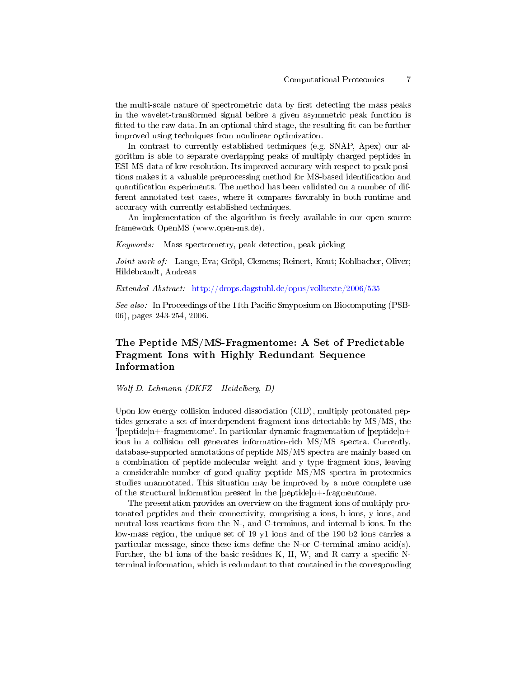the multi-scale nature of spectrometric data by first detecting the mass peaks in the wavelet-transformed signal before a given asymmetric peak function is fitted to the raw data. In an optional third stage, the resulting fit can be further improved using techniques from nonlinear optimization.

In contrast to currently established techniques (e.g. SNAP, Apex) our algorithm is able to separate overlapping peaks of multiply charged peptides in ESI-MS data of low resolution. Its improved accuracy with respect to peak positions makes it a valuable preprocessing method for MS-based identification and quantification experiments. The method has been validated on a number of different annotated test cases, where it compares favorably in both runtime and accuracy with currently established techniques.

An implementation of the algorithm is freely available in our open source framework OpenMS (www.open-ms.de).

Keywords: Mass spectrometry, peak detection, peak picking

Joint work of: Lange, Eva; Gröpl, Clemens; Reinert, Knut; Kohlbacher, Oliver; Hildebrandt, Andreas

Extended Abstract: <http://drops.dagstuhl.de/opus/volltexte/2006/535>

See also: In Proceedings of the 11th Pacific Smyposium on Biocomputing (PSB-06), pages 243-254, 2006.

### The Peptide MS/MS-Fragmentome: A Set of Predictable Fragment Ions with Highly Redundant Sequence Information

Wolf D. Lehmann (DKFZ - Heidelberg, D)

Upon low energy collision induced dissociation (CID), multiply protonated peptides generate a set of interdependent fragment ions detectable by MS/MS, the '[peptide]n+-fragmentome'. In particular dynamic fragmentation of [peptide]n+ ions in a collision cell generates information-rich MS/MS spectra. Currently, database-supported annotations of peptide MS/MS spectra are mainly based on a combination of peptide molecular weight and y type fragment ions, leaving a considerable number of good-quality peptide MS/MS spectra in proteomics studies unannotated. This situation may be improved by a more complete use of the structural information present in the  $[peptide]n+fragmentome$ .

The presentation provides an overview on the fragment ions of multiply protonated peptides and their connectivity, comprising a ions, b ions, y ions, and neutral loss reactions from the N-, and C-terminus, and internal b ions. In the low-mass region, the unique set of 19 y1 ions and of the 190 b2 ions carries a particular message, since these ions define the N-or C-terminal amino  $\alpha$ cid(s). Further, the b1 ions of the basic residues K, H, W, and R carry a specific  $N$ terminal information, which is redundant to that contained in the corresponding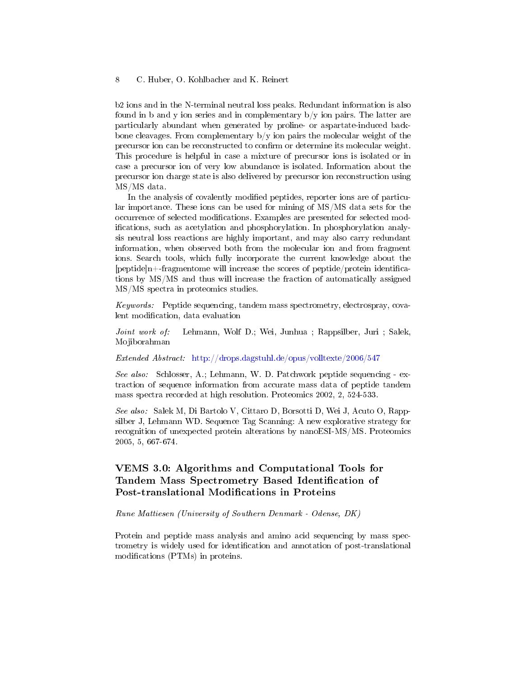b2 ions and in the N-terminal neutral loss peaks. Redundant information is also found in b and y ion series and in complementary  $b/y$  ion pairs. The latter are particularly abundant when generated by proline- or aspartate-induced backbone cleavages. From complementary  $b/y$  ion pairs the molecular weight of the precursor ion can be reconstructed to confirm or determine its molecular weight. This procedure is helpful in case a mixture of precursor ions is isolated or in case a precursor ion of very low abundance is isolated. Information about the precursor ion charge state is also delivered by precursor ion reconstruction using MS/MS data.

In the analysis of covalently modified peptides, reporter ions are of particular importance. These ions can be used for mining of MS/MS data sets for the occurrence of selected modifications. Examples are presented for selected modifications, such as acetylation and phosphorylation. In phosphorylation analysis neutral loss reactions are highly important, and may also carry redundant information, when observed both from the molecular ion and from fragment ions. Search tools, which fully incorporate the current knowledge about the  $[peptide]n+fragmentome will increase the scores of peptide/protein identifica$ tions by MS/MS and thus will increase the fraction of automatically assigned MS/MS spectra in proteomics studies.

Keywords: Peptide sequencing, tandem mass spectrometry, electrospray, covalent modification, data evaluation

Joint work of: Lehmann, Wolf D.; Wei, Junhua ; Rappsilber, Juri ; Salek, Mojiborahman

Extended Abstract: <http://drops.dagstuhl.de/opus/volltexte/2006/547>

See also: Schlosser, A.; Lehmann, W. D. Patchwork peptide sequencing - extraction of sequence information from accurate mass data of peptide tandem mass spectra recorded at high resolution. Proteomics 2002, 2, 524-533.

See also: Salek M, Di Bartolo V, Cittaro D, Borsotti D, Wei J, Acuto O, Rappsilber J, Lehmann WD. Sequence Tag Scanning: A new explorative strategy for recognition of unexpected protein alterations by nanoESI-MS/MS. Proteomics 2005, 5, 667-674.

# VEMS 3.0: Algorithms and Computational Tools for Tandem Mass Spectrometry Based Identification of Post-translational Modifications in Proteins

Rune Mattiesen (University of Southern Denmark - Odense, DK)

Protein and peptide mass analysis and amino acid sequencing by mass spectrometry is widely used for identification and annotation of post-translational modifications (PTMs) in proteins.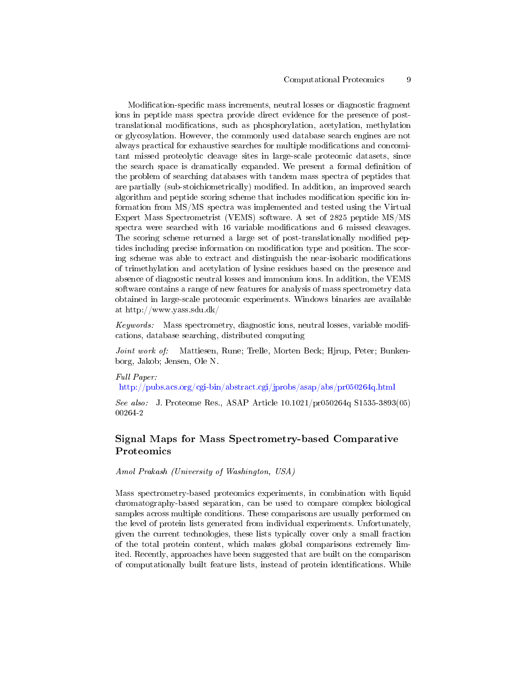#### Computational Proteomics 9

Modification-specific mass increments, neutral losses or diagnostic fragment ions in peptide mass spectra provide direct evidence for the presence of posttranslational modications, such as phosphorylation, acetylation, methylation or glycosylation. However, the commonly used database search engines are not always practical for exhaustive searches for multiple modifications and concomitant missed proteolytic cleavage sites in large-scale proteomic datasets, since the search space is dramatically expanded. We present a formal definition of the problem of searching databases with tandem mass spectra of peptides that are partially (sub-stoichiometrically) modified. In addition, an improved search algorithm and peptide scoring scheme that includes modification specific ion information from MS/MS spectra was implemented and tested using the Virtual Expert Mass Spectrometrist (VEMS) software. A set of 2825 peptide MS/MS spectra were searched with 16 variable modifications and 6 missed cleavages. The scoring scheme returned a large set of post-translationally modified peptides including precise information on modification type and position. The scoring scheme was able to extract and distinguish the near-isobaric modifications of trimethylation and acetylation of lysine residues based on the presence and absence of diagnostic neutral losses and immonium ions. In addition, the VEMS software contains a range of new features for analysis of mass spectrometry data obtained in large-scale proteomic experiments. Windows binaries are available at http://www.yass.sdu.dk/

Keywords: Mass spectrometry, diagnostic ions, neutral losses, variable modifications, database searching, distributed computing

Joint work of: Mattiesen, Rune; Trelle, Morten Beck; Hjrup, Peter; Bunkenborg, Jakob; Jensen, Ole N.

#### Full Paper:

<http://pubs.acs.org/cgi-bin/abstract.cgi/jprobs/asap/abs/pr050264q.html>

See also: J. Proteome Res., ASAP Article 10.1021/pr050264q S1535-3893(05) 00264-2

# Signal Maps for Mass Spectrometry-based Comparative Proteomics

Amol Prakash (University of Washington, USA)

Mass spectrometry-based proteomics experiments, in combination with liquid chromatography-based separation, can be used to compare complex biological samples across multiple conditions. These comparisons are usually performed on the level of protein lists generated from individual experiments. Unfortunately, given the current technologies, these lists typically cover only a small fraction of the total protein content, which makes global comparisons extremely limited. Recently, approaches have been suggested that are built on the comparison of computationally built feature lists, instead of protein identifications. While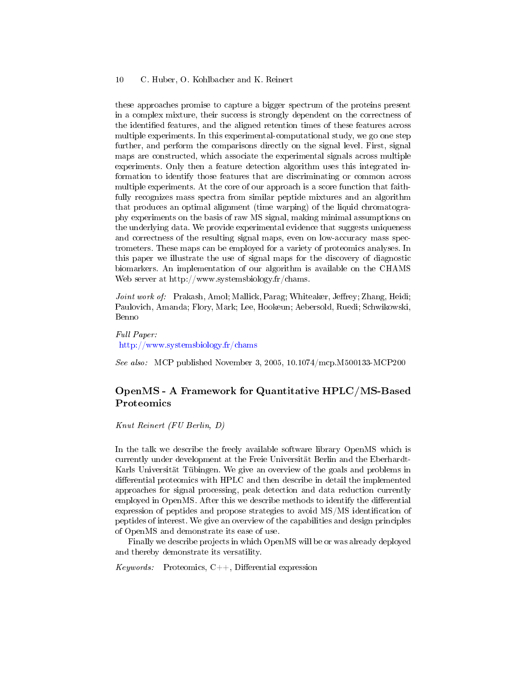these approaches promise to capture a bigger spectrum of the proteins present in a complex mixture, their success is strongly dependent on the correctness of the identified features, and the aligned retention times of these features across multiple experiments. In this experimental-computational study, we go one step further, and perform the comparisons directly on the signal level. First, signal maps are constructed, which associate the experimental signals across multiple experiments. Only then a feature detection algorithm uses this integrated information to identify those features that are discriminating or common across multiple experiments. At the core of our approach is a score function that faithfully recognizes mass spectra from similar peptide mixtures and an algorithm that produces an optimal alignment (time warping) of the liquid chromatography experiments on the basis of raw MS signal, making minimal assumptions on the underlying data. We provide experimental evidence that suggests uniqueness and correctness of the resulting signal maps, even on low-accuracy mass spectrometers. These maps can be employed for a variety of proteomics analyses. In this paper we illustrate the use of signal maps for the discovery of diagnostic biomarkers. An implementation of our algorithm is available on the CHAMS Web server at http://www.systemsbiology.fr/chams.

Joint work of: Prakash, Amol; Mallick, Parag; Whiteaker, Jeffrey; Zhang, Heidi; Paulovich, Amanda; Flory, Mark; Lee, Hookeun; Aebersold, Ruedi; Schwikowski, Benno

Full Paper: <http://www.systemsbiology.fr/chams>

See also: MCP published November 3, 2005, 10.1074/mcp.M500133-MCP200

# OpenMS - A Framework for Quantitative HPLC/MS-Based Proteomics

Knut Reinert (FU Berlin, D)

In the talk we describe the freely available software library OpenMS which is currently under development at the Freie Universität Berlin and the Eberhardt-Karls Universität Tübingen. We give an overview of the goals and problems in differential proteomics with HPLC and then describe in detail the implemented approaches for signal processing, peak detection and data reduction currently employed in OpenMS. After this we describe methods to identify the differential expression of peptides and propose strategies to avoid MS/MS identification of peptides of interest. We give an overview of the capabilities and design principles of OpenMS and demonstrate its ease of use.

Finally we describe projects in which OpenMS will be or was already deployed and thereby demonstrate its versatility.

*Keywords:* Proteomics,  $C++$ , Differential expression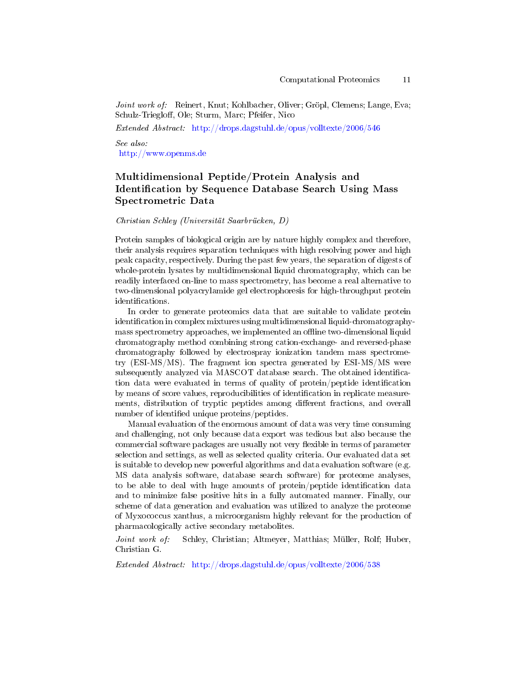Joint work of: Reinert, Knut; Kohlbacher, Oliver; Gröpl, Clemens; Lange, Eva; Schulz-Triegloff, Ole; Sturm, Marc; Pfeifer, Nico

Extended Abstract: <http://drops.dagstuhl.de/opus/volltexte/2006/546>

See also: <http://www.openms.de>

# Multidimensional Peptide/Protein Analysis and Identification by Sequence Database Search Using Mass Spectrometric Data

#### Christian Schley (Universität Saarbrücken, D)

Protein samples of biological origin are by nature highly complex and therefore, their analysis requires separation techniques with high resolving power and high peak capacity, respectively. During the past few years, the separation of digests of whole-protein lysates by multidimensional liquid chromatography, which can be readily interfaced on-line to mass spectrometry, has become a real alternative to two-dimensional polyacrylamide gel electrophoresis for high-throughput protein identifications.

In order to generate proteomics data that are suitable to validate protein identification in complex mixtures using multidimensional liquid-chromatographymass spectrometry approaches, we implemented an offline two-dimensional liquid chromatography method combining strong cation-exchange- and reversed-phase chromatography followed by electrospray ionization tandem mass spectrometry (ESI-MS/MS). The fragment ion spectra generated by ESI-MS/MS were subsequently analyzed via MASCOT database search. The obtained identication data were evaluated in terms of quality of protein/peptide identification by means of score values, reproducibilities of identification in replicate measurements, distribution of tryptic peptides among different fractions, and overall number of identified unique proteins/peptides.

Manual evaluation of the enormous amount of data was very time consuming and challenging, not only because data export was tedious but also because the commercial software packages are usually not very flexible in terms of parameter selection and settings, as well as selected quality criteria. Our evaluated data set is suitable to develop new powerful algorithms and data evaluation software (e.g. MS data analysis software, database search software) for proteome analyses, to be able to deal with huge amounts of protein/peptide identification data and to minimize false positive hits in a fully automated manner. Finally, our scheme of data generation and evaluation was utilized to analyze the proteome of Myxococcus xanthus, a microorganism highly relevant for the production of pharmacologically active secondary metabolites.

Joint work of: Schley, Christian; Altmeyer, Matthias; Müller, Rolf; Huber, Christian G.

Extended Abstract: <http://drops.dagstuhl.de/opus/volltexte/2006/538>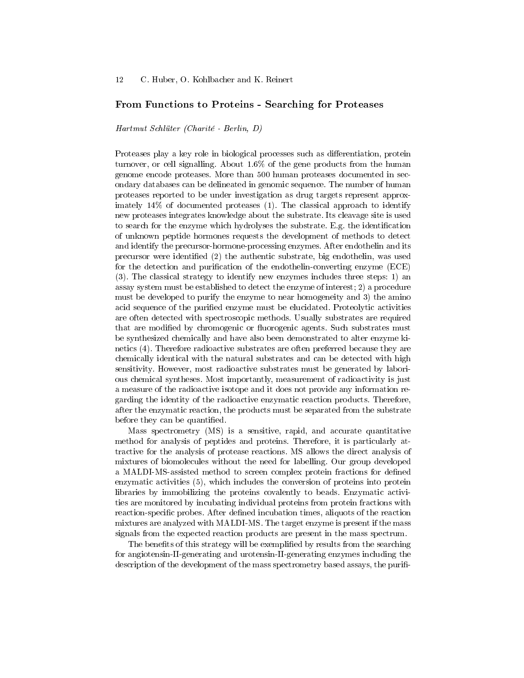### From Functions to Proteins - Searching for Proteases

Hartmut Schlüter (Charité - Berlin, D)

Proteases play a key role in biological processes such as differentiation, protein turnover, or cell signalling. About 1.6% of the gene products from the human genome encode proteases. More than 500 human proteases documented in secondary databases can be delineated in genomic sequence. The number of human proteases reported to be under investigation as drug targets represent approximately 14% of documented proteases (1). The classical approach to identify new proteases integrates knowledge about the substrate. Its cleavage site is used to search for the enzyme which hydrolyses the substrate. E.g. the identification of unknown peptide hormones requests the development of methods to detect and identify the precursor-hormone-processing enzymes. After endothelin and its precursor were identified  $(2)$  the authentic substrate, big endothelin, was used for the detection and purification of the endothelin-converting enzyme (ECE) (3). The classical strategy to identify new enzymes includes three steps: 1) an assay system must be established to detect the enzyme of interest; 2) a procedure must be developed to purify the enzyme to near homogeneity and 3) the amino acid sequence of the purified enzyme must be elucidated. Proteolytic activities are often detected with spectroscopic methods. Usually substrates are required that are modified by chromogenic or fluorogenic agents. Such substrates must be synthesized chemically and have also been demonstrated to alter enzyme kinetics (4). Therefore radioactive substrates are often preferred because they are chemically identical with the natural substrates and can be detected with high sensitivity. However, most radioactive substrates must be generated by laborious chemical syntheses. Most importantly, measurement of radioactivity is just a measure of the radioactive isotope and it does not provide any information regarding the identity of the radioactive enzymatic reaction products. Therefore, after the enzymatic reaction, the products must be separated from the substrate before they can be quantified.

Mass spectrometry (MS) is a sensitive, rapid, and accurate quantitative method for analysis of peptides and proteins. Therefore, it is particularly attractive for the analysis of protease reactions. MS allows the direct analysis of mixtures of biomolecules without the need for labelling. Our group developed a MALDI-MS-assisted method to screen complex protein fractions for defined enzymatic activities (5), which includes the conversion of proteins into protein libraries by immobilizing the proteins covalently to beads. Enzymatic activities are monitored by incubating individual proteins from protein fractions with reaction-specific probes. After defined incubation times, aliquots of the reaction mixtures are analyzed with MALDI-MS. The target enzyme is present if the mass signals from the expected reaction products are present in the mass spectrum.

The benefits of this strategy will be exemplified by results from the searching for angiotensin-II-generating and urotensin-II-generating enzymes including the description of the development of the mass spectrometry based assays, the purifi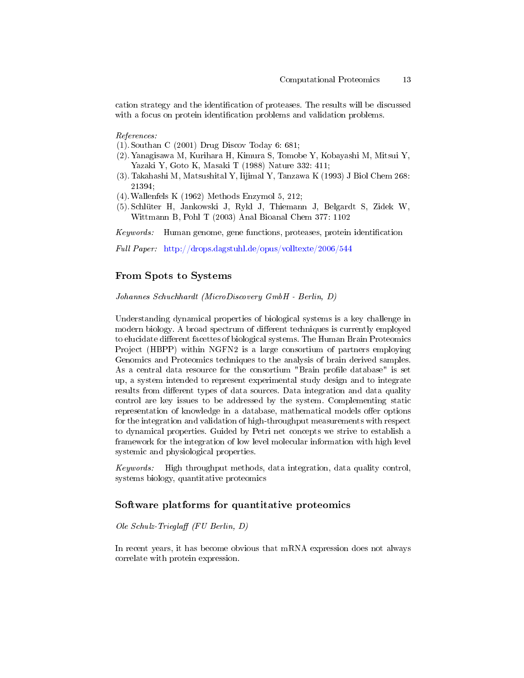cation strategy and the identification of proteases. The results will be discussed with a focus on protein identification problems and validation problems.

References:

- (1). Southan C (2001) Drug Discov Today 6: 681;
- (2).Yanagisawa M, Kurihara H, Kimura S, Tomobe Y, Kobayashi M, Mitsui Y, Yazaki Y, Goto K, Masaki T (1988) Nature 332: 411;
- (3). Takahashi M, Matsushital Y, Iijimal Y, Tanzawa K (1993) J Biol Chem 268: 21394;
- (4).Wallenfels K (1962) Methods Enzymol 5, 212;
- (5). Schlüter H, Jankowski J, Rykl J, Thiemann J, Belgardt S, Zidek W, Wittmann B, Pohl T (2003) Anal Bioanal Chem 377: 1102

Keywords: Human genome, gene functions, proteases, protein identification

Full Paper: <http://drops.dagstuhl.de/opus/volltexte/2006/544>

### From Spots to Systems

Johannes Schuchhardt (MicroDiscovery GmbH - Berlin, D)

Understanding dynamical properties of biological systems is a key challenge in modern biology. A broad spectrum of different techniques is currently employed to elucidate different facettes of biological systems. The Human Brain Proteomics Project (HBPP) within NGFN2 is a large consortium of partners employing Genomics and Proteomics techniques to the analysis of brain derived samples. As a central data resource for the consortium "Brain profile database" is set up, a system intended to represent experimental study design and to integrate results from different types of data sources. Data integration and data quality control are key issues to be addressed by the system. Complementing static representation of knowledge in a database, mathematical models offer options for the integration and validation of high-throughput measurements with respect to dynamical properties. Guided by Petri net concepts we strive to establish a framework for the integration of low level molecular information with high level systemic and physiological properties.

 $Keywords:$  High throughput methods, data integration, data quality control, systems biology, quantitative proteomics

### Software platforms for quantitative proteomics

Ole Schulz-Trieglaff (FU Berlin, D)

In recent years, it has become obvious that mRNA expression does not always correlate with protein expression.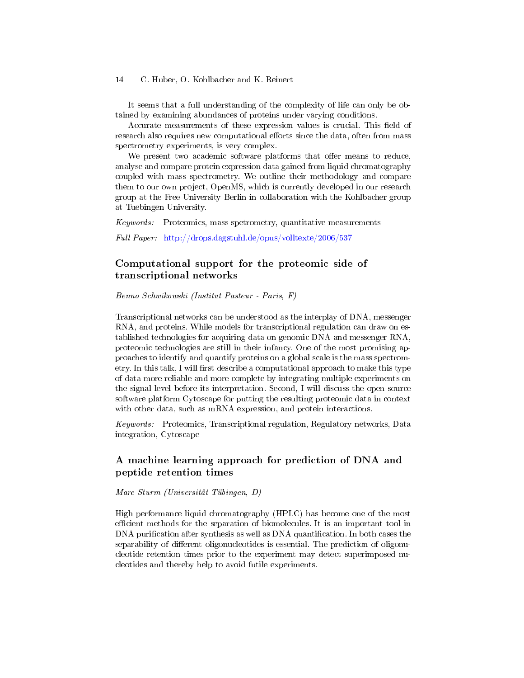It seems that a full understanding of the complexity of life can only be obtained by examining abundances of proteins under varying conditions.

Accurate measurements of these expression values is crucial. This field of research also requires new computational efforts since the data, often from mass spectrometry experiments, is very complex.

We present two academic software platforms that offer means to reduce, analyse and compare protein expression data gained from liquid chromatography coupled with mass spectrometry. We outline their methodology and compare them to our own project, OpenMS, which is currently developed in our research group at the Free University Berlin in collaboration with the Kohlbacher group at Tuebingen University.

Keywords: Proteomics, mass spetrometry, quantitative measurements

Full Paper: <http://drops.dagstuhl.de/opus/volltexte/2006/537>

### Computational support for the proteomic side of transcriptional networks

Benno Schwikowski (Institut Pasteur - Paris, F)

Transcriptional networks can be understood as the interplay of DNA, messenger RNA, and proteins. While models for transcriptional regulation can draw on established technologies for acquiring data on genomic DNA and messenger RNA, proteomic technologies are still in their infancy. One of the most promising approaches to identify and quantify proteins on a global scale is the mass spectrometry. In this talk, I will first describe a computational approach to make this type of data more reliable and more complete by integrating multiple experiments on the signal level before its interpretation. Second, I will discuss the open-source software platform Cytoscape for putting the resulting proteomic data in context with other data, such as mRNA expression, and protein interactions.

Keywords: Proteomics, Transcriptional regulation, Regulatory networks, Data integration, Cytoscape

### A machine learning approach for prediction of DNA and peptide retention times

Marc Sturm (Universität Tübingen, D)

High performance liquid chromatography (HPLC) has become one of the most efficient methods for the separation of biomolecules. It is an important tool in DNA purification after synthesis as well as DNA quantification. In both cases the separability of different oligonucleotides is essential. The prediction of oligonucleotide retention times prior to the experiment may detect superimposed nucleotides and thereby help to avoid futile experiments.